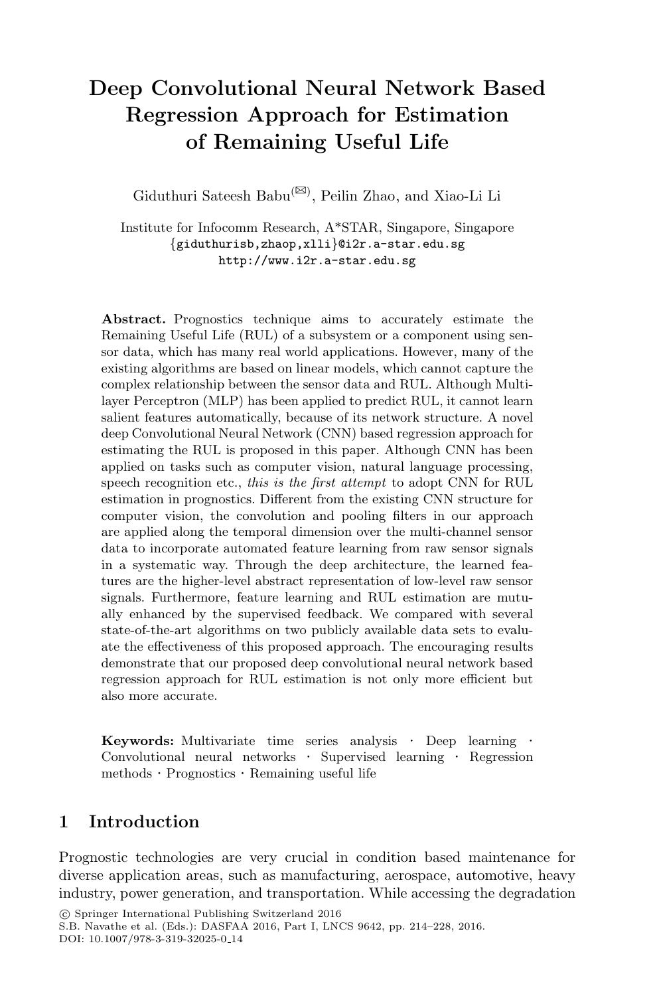# **Deep Convolutional Neural Network Based Regression Approach for Estimation of Remaining Useful Life**

Giduthuri Sateesh Babu<sup>( $\boxtimes$ )</sup>, Peilin Zhao, and Xiao-Li Li

Institute for Infocomm Research, A\*STAR, Singapore, Singapore {giduthurisb,zhaop,xlli}@i2r.a-star.edu.sg http://www.i2r.a-star.edu.sg

**Abstract.** Prognostics technique aims to accurately estimate the Remaining Useful Life (RUL) of a subsystem or a component using sensor data, which has many real world applications. However, many of the existing algorithms are based on linear models, which cannot capture the complex relationship between the sensor data and RUL. Although Multilayer Perceptron (MLP) has been applied to predict RUL, it cannot learn salient features automatically, because of its network structure. A novel deep Convolutional Neural Network (CNN) based regression approach for estimating the RUL is proposed in this paper. Although CNN has been applied on tasks such as computer vision, natural language processing, speech recognition etc., *this is the first attempt* to adopt CNN for RUL estimation in prognostics. Different from the existing CNN structure for computer vision, the convolution and pooling filters in our approach are applied along the temporal dimension over the multi-channel sensor data to incorporate automated feature learning from raw sensor signals in a systematic way. Through the deep architecture, the learned features are the higher-level abstract representation of low-level raw sensor signals. Furthermore, feature learning and RUL estimation are mutually enhanced by the supervised feedback. We compared with several state-of-the-art algorithms on two publicly available data sets to evaluate the effectiveness of this proposed approach. The encouraging results demonstrate that our proposed deep convolutional neural network based regression approach for RUL estimation is not only more efficient but also more accurate.

**Keywords:** Multivariate time series analysis · Deep learning · Convolutional neural networks · Supervised learning · Regression methods · Prognostics · Remaining useful life

#### **1 Introduction**

Prognostic technologies are very crucial in condition based maintenance for diverse application areas, such as manufacturing, aerospace, automotive, heavy industry, power generation, and transportation. While accessing the degradation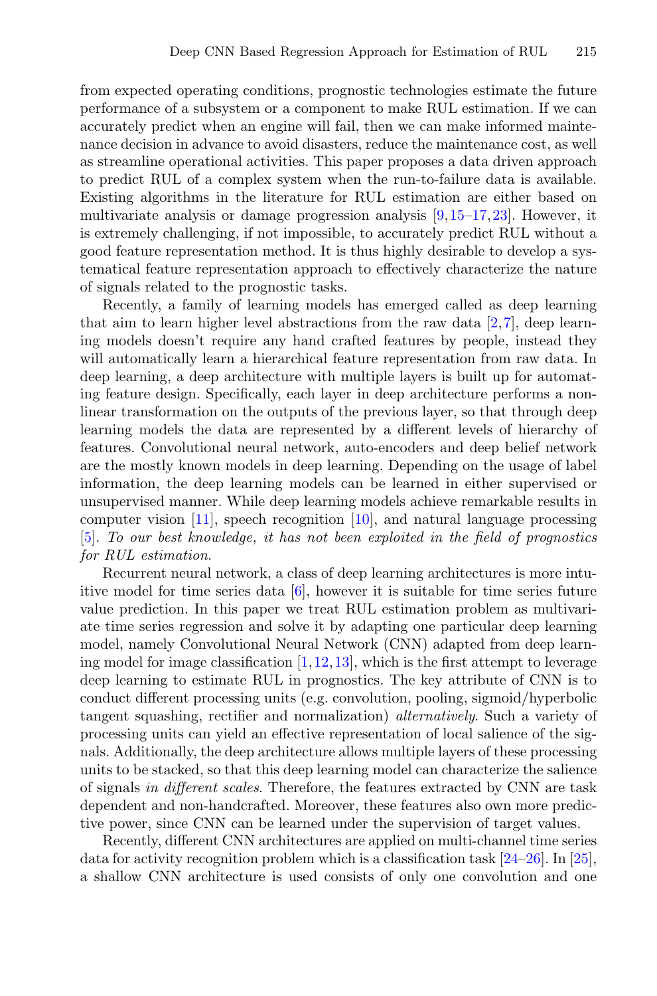from expected operating conditions, prognostic technologies estimate the future performance of a subsystem or a component to make RUL estimation. If we can accurately predict when an engine will fail, then we can make informed maintenance decision in advance to avoid disasters, reduce the maintenance cost, as well as streamline operational activities. This paper proposes a data driven approach to predict RUL of a complex system when the run-to-failure data is available. Existing algorithms in the literature for RUL estimation are either based on multivariate analysis or damage progression analysis [\[9](#page-13-0),[15](#page-13-1)[–17,](#page-13-2)[23\]](#page-14-0). However, it is extremely challenging, if not impossible, to accurately predict RUL without a good feature representation method. It is thus highly desirable to develop a systematical feature representation approach to effectively characterize the nature of signals related to the prognostic tasks.

Recently, a family of learning models has emerged called as deep learning that aim to learn higher level abstractions from the raw data [\[2](#page-13-3)[,7\]](#page-13-4), deep learning models doesn't require any hand crafted features by people, instead they will automatically learn a hierarchical feature representation from raw data. In deep learning, a deep architecture with multiple layers is built up for automating feature design. Specifically, each layer in deep architecture performs a nonlinear transformation on the outputs of the previous layer, so that through deep learning models the data are represented by a different levels of hierarchy of features. Convolutional neural network, auto-encoders and deep belief network are the mostly known models in deep learning. Depending on the usage of label information, the deep learning models can be learned in either supervised or unsupervised manner. While deep learning models achieve remarkable results in computer vision [\[11\]](#page-13-5), speech recognition [\[10](#page-13-6)], and natural language processing [\[5](#page-13-7)]. *To our best knowledge, it has not been exploited in the field of prognostics for RUL estimation*.

Recurrent neural network, a class of deep learning architectures is more intuitive model for time series data  $[6]$  $[6]$ , however it is suitable for time series future value prediction. In this paper we treat RUL estimation problem as multivariate time series regression and solve it by adapting one particular deep learning model, namely Convolutional Neural Network (CNN) adapted from deep learning model for image classification  $[1,12,13]$  $[1,12,13]$  $[1,12,13]$  $[1,12,13]$ , which is the first attempt to leverage deep learning to estimate RUL in prognostics. The key attribute of CNN is to conduct different processing units (e.g. convolution, pooling, sigmoid/hyperbolic tangent squashing, rectifier and normalization) *alternatively*. Such a variety of processing units can yield an effective representation of local salience of the signals. Additionally, the deep architecture allows multiple layers of these processing units to be stacked, so that this deep learning model can characterize the salience of signals *in different scales*. Therefore, the features extracted by CNN are task dependent and non-handcrafted. Moreover, these features also own more predictive power, since CNN can be learned under the supervision of target values.

Recently, different CNN architectures are applied on multi-channel time series data for activity recognition problem which is a classification task  $[24-26]$  $[24-26]$ . In [\[25\]](#page-14-3), a shallow CNN architecture is used consists of only one convolution and one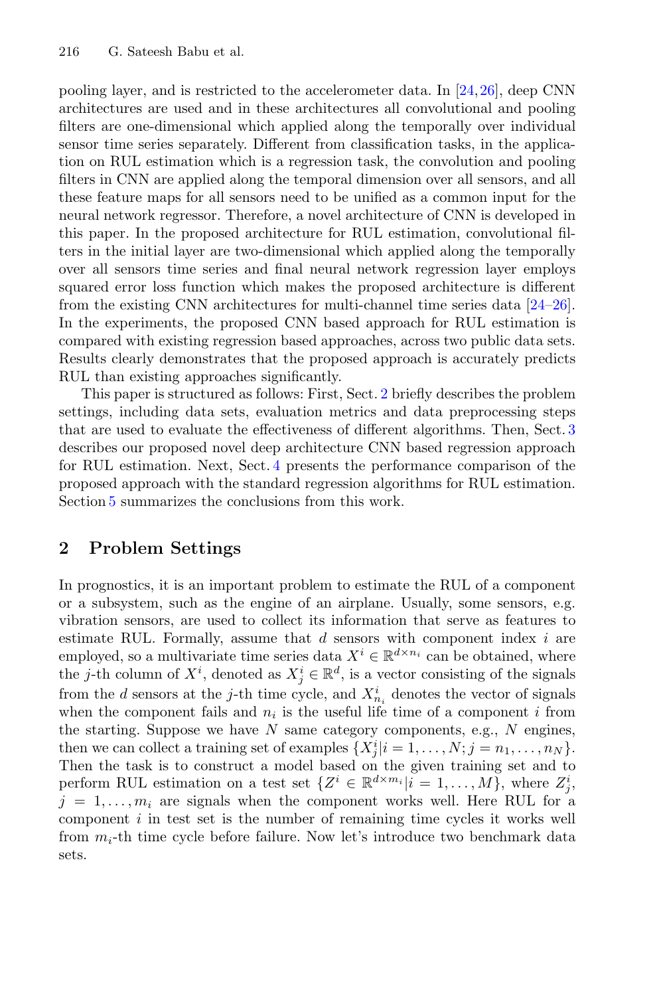pooling layer, and is restricted to the accelerometer data. In [\[24](#page-14-1)[,26](#page-14-2)], deep CNN architectures are used and in these architectures all convolutional and pooling filters are one-dimensional which applied along the temporally over individual sensor time series separately. Different from classification tasks, in the application on RUL estimation which is a regression task, the convolution and pooling filters in CNN are applied along the temporal dimension over all sensors, and all these feature maps for all sensors need to be unified as a common input for the neural network regressor. Therefore, a novel architecture of CNN is developed in this paper. In the proposed architecture for RUL estimation, convolutional filters in the initial layer are two-dimensional which applied along the temporally over all sensors time series and final neural network regression layer employs squared error loss function which makes the proposed architecture is different from the existing CNN architectures for multi-channel time series data [\[24](#page-14-1)[–26\]](#page-14-2). In the experiments, the proposed CNN based approach for RUL estimation is compared with existing regression based approaches, across two public data sets. Results clearly demonstrates that the proposed approach is accurately predicts RUL than existing approaches significantly.

This paper is structured as follows: First, Sect. [2](#page-2-0) briefly describes the problem settings, including data sets, evaluation metrics and data preprocessing steps that are used to evaluate the effectiveness of different algorithms. Then, Sect. [3](#page-6-0) describes our proposed novel deep architecture CNN based regression approach for RUL estimation. Next, Sect. [4](#page-10-0) presents the performance comparison of the proposed approach with the standard regression algorithms for RUL estimation. Section [5](#page-12-1) summarizes the conclusions from this work.

## <span id="page-2-0"></span>**2 Problem Settings**

In prognostics, it is an important problem to estimate the RUL of a component or a subsystem, such as the engine of an airplane. Usually, some sensors, e.g. vibration sensors, are used to collect its information that serve as features to estimate RUL. Formally, assume that  $d$  sensors with component index  $i$  are employed, so a multivariate time series data  $X^i \in \mathbb{R}^{d \times n_i}$  can be obtained, where the j-th column of  $X^i$ , denoted as  $X^i_j \in \mathbb{R}^d$ , is a vector consisting of the signals from the d sensors at the j-th time cycle, and  $X_{n_i}^i$  denotes the vector of signals when the component fails and  $n_i$  is the useful life time of a component i from the starting. Suppose we have  $N$  same category components, e.g.,  $N$  engines, then we can collect a training set of examples  $\{X_j^i | i = 1, \ldots, N; j = n_1, \ldots, n_N\}$ . Then the task is to construct a model based on the given training set and to perform RUL estimation on a test set  $\{Z^i \in \mathbb{R}^{d \times m_i} | i = 1, ..., M\}$ , where  $Z^i_j$ ,  $j = 1, \ldots, m_i$  are signals when the component works well. Here RUL for a component i in test set is the number of remaining time cycles it works well from  $m_i$ -th time cycle before failure. Now let's introduce two benchmark data sets.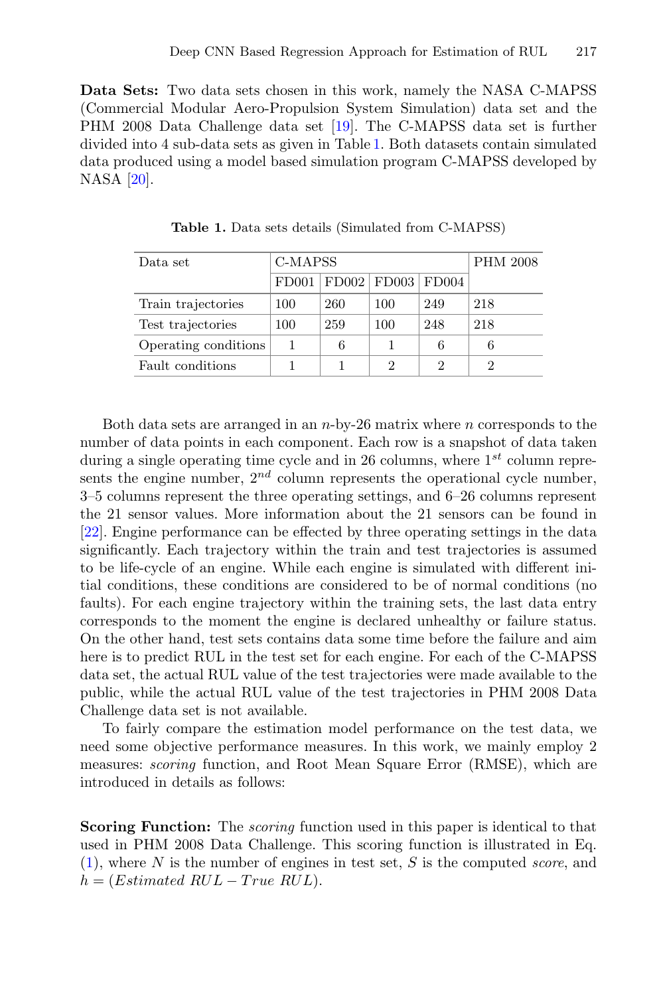**Data Sets:** Two data sets chosen in this work, namely the NASA C-MAPSS (Commercial Modular Aero-Propulsion System Simulation) data set and the PHM 2008 Data Challenge data set [\[19](#page-13-11)]. The C-MAPSS data set is further divided into 4 sub-data sets as given in Table [1.](#page-3-0) Both datasets contain simulated data produced using a model based simulation program C-MAPSS developed by NASA [\[20\]](#page-14-4).

<span id="page-3-0"></span>

| Data set             | C-MAPSS |     |                         |     | <b>PHM 2008</b> |
|----------------------|---------|-----|-------------------------|-----|-----------------|
|                      | FD001   |     | $FD002$ $FD003$ $FD004$ |     |                 |
| Train trajectories   | 100     | 260 | 100                     | 249 | 218             |
| Test trajectories    | 100     | 259 | 100                     | 248 | 218             |
| Operating conditions |         | 6   |                         | 6   | 6               |
| Fault conditions     |         |     | 9                       | 2   |                 |

**Table 1.** Data sets details (Simulated from C-MAPSS)

Both data sets are arranged in an  $n$ -by-26 matrix where n corresponds to the number of data points in each component. Each row is a snapshot of data taken during a single operating time cycle and in 26 columns, where 1*st* column represents the engine number,  $2^{nd}$  column represents the operational cycle number, 3–5 columns represent the three operating settings, and 6–26 columns represent the 21 sensor values. More information about the 21 sensors can be found in [\[22](#page-14-5)]. Engine performance can be effected by three operating settings in the data significantly. Each trajectory within the train and test trajectories is assumed to be life-cycle of an engine. While each engine is simulated with different initial conditions, these conditions are considered to be of normal conditions (no faults). For each engine trajectory within the training sets, the last data entry corresponds to the moment the engine is declared unhealthy or failure status. On the other hand, test sets contains data some time before the failure and aim here is to predict RUL in the test set for each engine. For each of the C-MAPSS data set, the actual RUL value of the test trajectories were made available to the public, while the actual RUL value of the test trajectories in PHM 2008 Data Challenge data set is not available.

To fairly compare the estimation model performance on the test data, we need some objective performance measures. In this work, we mainly employ 2 measures: *scoring* function, and Root Mean Square Error (RMSE), which are introduced in details as follows:

**Scoring Function:** The *scoring* function used in this paper is identical to that used in PHM 2008 Data Challenge. This scoring function is illustrated in Eq. [\(1\)](#page-4-0), where N is the number of engines in test set, S is the computed *score*, and  $h = (Estimated \, RUL - True \, RUL).$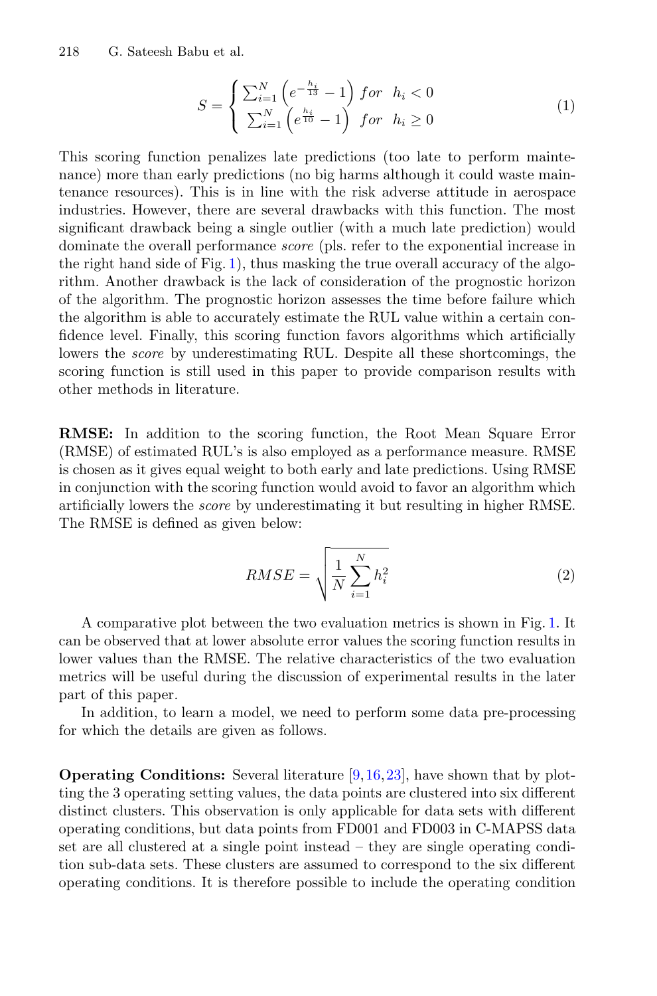$$
S = \begin{cases} \sum_{i=1}^{N} \left( e^{-\frac{h_i}{13}} - 1 \right) \text{ for } h_i < 0\\ \sum_{i=1}^{N} \left( e^{\frac{h_i}{10}} - 1 \right) \text{ for } h_i \ge 0 \end{cases}
$$
 (1)

<span id="page-4-0"></span>This scoring function penalizes late predictions (too late to perform maintenance) more than early predictions (no big harms although it could waste maintenance resources). This is in line with the risk adverse attitude in aerospace industries. However, there are several drawbacks with this function. The most significant drawback being a single outlier (with a much late prediction) would dominate the overall performance *score* (pls. refer to the exponential increase in the right hand side of Fig. [1\)](#page-5-0), thus masking the true overall accuracy of the algorithm. Another drawback is the lack of consideration of the prognostic horizon of the algorithm. The prognostic horizon assesses the time before failure which the algorithm is able to accurately estimate the RUL value within a certain confidence level. Finally, this scoring function favors algorithms which artificially lowers the *score* by underestimating RUL. Despite all these shortcomings, the scoring function is still used in this paper to provide comparison results with other methods in literature.

**RMSE:** In addition to the scoring function, the Root Mean Square Error (RMSE) of estimated RUL's is also employed as a performance measure. RMSE is chosen as it gives equal weight to both early and late predictions. Using RMSE in conjunction with the scoring function would avoid to favor an algorithm which artificially lowers the *score* by underestimating it but resulting in higher RMSE. The RMSE is defined as given below:

$$
RMSE = \sqrt{\frac{1}{N} \sum_{i=1}^{N} h_i^2}
$$
 (2)

A comparative plot between the two evaluation metrics is shown in Fig. [1.](#page-5-0) It can be observed that at lower absolute error values the scoring function results in lower values than the RMSE. The relative characteristics of the two evaluation metrics will be useful during the discussion of experimental results in the later part of this paper.

In addition, to learn a model, we need to perform some data pre-processing for which the details are given as follows.

**Operating Conditions:** Several literature [\[9](#page-13-0), [16,](#page-13-12) [23](#page-14-0)], have shown that by plotting the 3 operating setting values, the data points are clustered into six different distinct clusters. This observation is only applicable for data sets with different operating conditions, but data points from FD001 and FD003 in C-MAPSS data set are all clustered at a single point instead – they are single operating condition sub-data sets. These clusters are assumed to correspond to the six different operating conditions. It is therefore possible to include the operating condition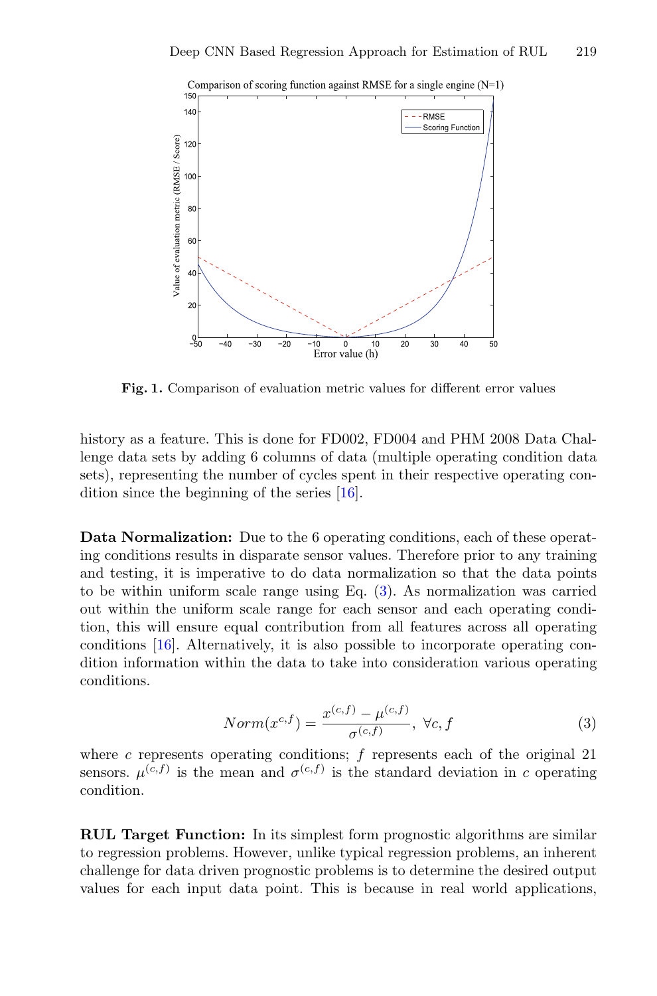

**Fig. 1.** Comparison of evaluation metric values for different error values

<span id="page-5-0"></span>history as a feature. This is done for FD002, FD004 and PHM 2008 Data Challenge data sets by adding 6 columns of data (multiple operating condition data sets), representing the number of cycles spent in their respective operating condition since the beginning of the series [\[16\]](#page-13-12).

**Data Normalization:** Due to the 6 operating conditions, each of these operating conditions results in disparate sensor values. Therefore prior to any training and testing, it is imperative to do data normalization so that the data points to be within uniform scale range using Eq. [\(3\)](#page-5-1). As normalization was carried out within the uniform scale range for each sensor and each operating condition, this will ensure equal contribution from all features across all operating conditions [\[16\]](#page-13-12). Alternatively, it is also possible to incorporate operating condition information within the data to take into consideration various operating conditions.

$$
Norm(x^{c,f}) = \frac{x^{(c,f)} - \mu^{(c,f)}}{\sigma^{(c,f)}}, \ \forall c, f \tag{3}
$$

<span id="page-5-1"></span>where  $c$  represents operating conditions;  $f$  represents each of the original 21 sensors.  $\mu^{(c,f)}$  is the mean and  $\sigma^{(c,f)}$  is the standard deviation in c operating condition.

**RUL Target Function:** In its simplest form prognostic algorithms are similar to regression problems. However, unlike typical regression problems, an inherent challenge for data driven prognostic problems is to determine the desired output values for each input data point. This is because in real world applications,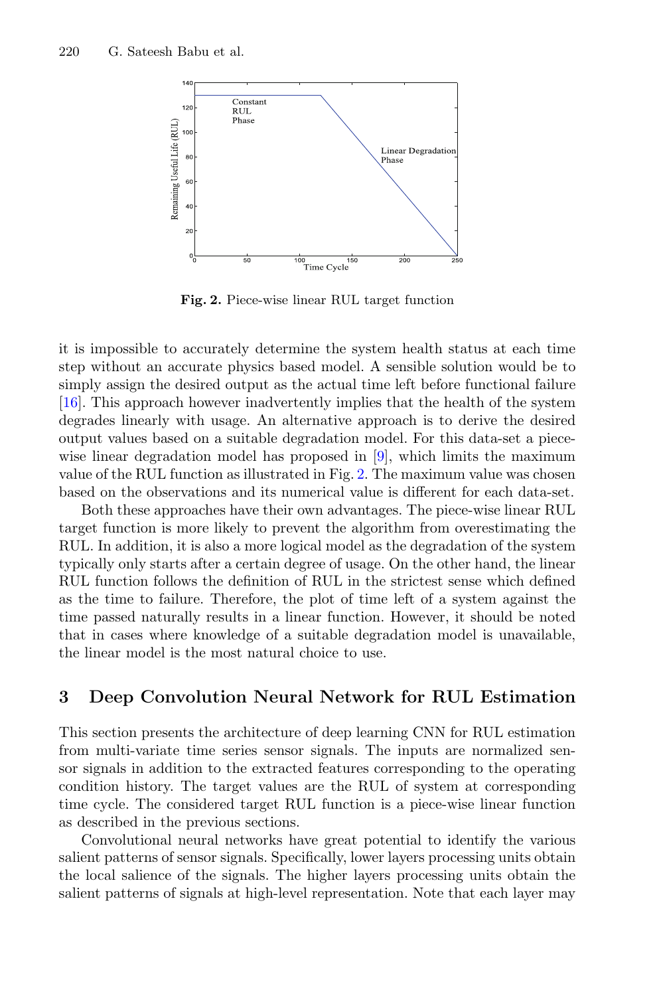

<span id="page-6-1"></span>**Fig. 2.** Piece-wise linear RUL target function

it is impossible to accurately determine the system health status at each time step without an accurate physics based model. A sensible solution would be to simply assign the desired output as the actual time left before functional failure [\[16](#page-13-12)]. This approach however inadvertently implies that the health of the system degrades linearly with usage. An alternative approach is to derive the desired output values based on a suitable degradation model. For this data-set a piecewise linear degradation model has proposed in [\[9](#page-13-0)], which limits the maximum value of the RUL function as illustrated in Fig. [2.](#page-6-1) The maximum value was chosen based on the observations and its numerical value is different for each data-set.

Both these approaches have their own advantages. The piece-wise linear RUL target function is more likely to prevent the algorithm from overestimating the RUL. In addition, it is also a more logical model as the degradation of the system typically only starts after a certain degree of usage. On the other hand, the linear RUL function follows the definition of RUL in the strictest sense which defined as the time to failure. Therefore, the plot of time left of a system against the time passed naturally results in a linear function. However, it should be noted that in cases where knowledge of a suitable degradation model is unavailable, the linear model is the most natural choice to use.

## <span id="page-6-0"></span>**3 Deep Convolution Neural Network for RUL Estimation**

This section presents the architecture of deep learning CNN for RUL estimation from multi-variate time series sensor signals. The inputs are normalized sensor signals in addition to the extracted features corresponding to the operating condition history. The target values are the RUL of system at corresponding time cycle. The considered target RUL function is a piece-wise linear function as described in the previous sections.

Convolutional neural networks have great potential to identify the various salient patterns of sensor signals. Specifically, lower layers processing units obtain the local salience of the signals. The higher layers processing units obtain the salient patterns of signals at high-level representation. Note that each layer may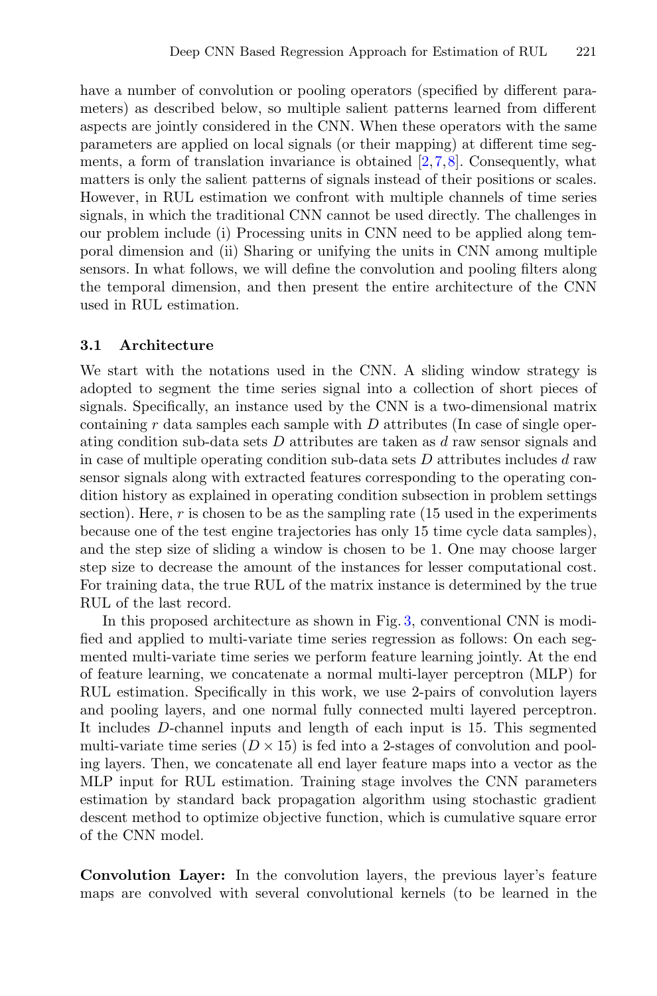have a number of convolution or pooling operators (specified by different parameters) as described below, so multiple salient patterns learned from different aspects are jointly considered in the CNN. When these operators with the same parameters are applied on local signals (or their mapping) at different time segments, a form of translation invariance is obtained  $[2,7,8]$  $[2,7,8]$  $[2,7,8]$  $[2,7,8]$ . Consequently, what matters is only the salient patterns of signals instead of their positions or scales. However, in RUL estimation we confront with multiple channels of time series signals, in which the traditional CNN cannot be used directly. The challenges in our problem include (i) Processing units in CNN need to be applied along temporal dimension and (ii) Sharing or unifying the units in CNN among multiple sensors. In what follows, we will define the convolution and pooling filters along the temporal dimension, and then present the entire architecture of the CNN used in RUL estimation.

#### **3.1 Architecture**

We start with the notations used in the CNN. A sliding window strategy is adopted to segment the time series signal into a collection of short pieces of signals. Specifically, an instance used by the CNN is a two-dimensional matrix containing r data samples each sample with  $D$  attributes (In case of single operating condition sub-data sets D attributes are taken as d raw sensor signals and in case of multiple operating condition sub-data sets  $D$  attributes includes  $d$  raw sensor signals along with extracted features corresponding to the operating condition history as explained in operating condition subsection in problem settings section). Here,  $r$  is chosen to be as the sampling rate (15 used in the experiments because one of the test engine trajectories has only 15 time cycle data samples), and the step size of sliding a window is chosen to be 1. One may choose larger step size to decrease the amount of the instances for lesser computational cost. For training data, the true RUL of the matrix instance is determined by the true RUL of the last record.

In this proposed architecture as shown in Fig. [3,](#page-8-0) conventional CNN is modified and applied to multi-variate time series regression as follows: On each segmented multi-variate time series we perform feature learning jointly. At the end of feature learning, we concatenate a normal multi-layer perceptron (MLP) for RUL estimation. Specifically in this work, we use 2-pairs of convolution layers and pooling layers, and one normal fully connected multi layered perceptron. It includes D-channel inputs and length of each input is 15. This segmented multi-variate time series  $(D \times 15)$  is fed into a 2-stages of convolution and pooling layers. Then, we concatenate all end layer feature maps into a vector as the MLP input for RUL estimation. Training stage involves the CNN parameters estimation by standard back propagation algorithm using stochastic gradient descent method to optimize objective function, which is cumulative square error of the CNN model.

**Convolution Layer:** In the convolution layers, the previous layer's feature maps are convolved with several convolutional kernels (to be learned in the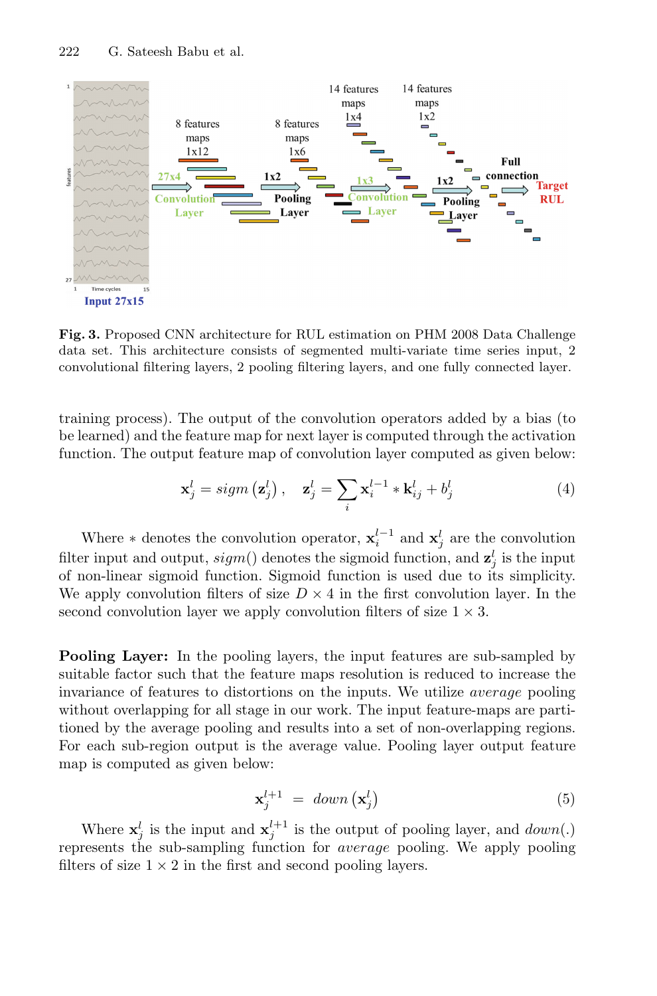

<span id="page-8-0"></span>**Fig. 3.** Proposed CNN architecture for RUL estimation on PHM 2008 Data Challenge data set. This architecture consists of segmented multi-variate time series input, 2 convolutional filtering layers, 2 pooling filtering layers, and one fully connected layer.

<span id="page-8-1"></span>training process). The output of the convolution operators added by a bias (to be learned) and the feature map for next layer is computed through the activation function. The output feature map of convolution layer computed as given below:

$$
\mathbf{x}_{j}^{l} = sign\left(\mathbf{z}_{j}^{l}\right), \quad \mathbf{z}_{j}^{l} = \sum_{i} \mathbf{x}_{i}^{l-1} * \mathbf{k}_{ij}^{l} + b_{j}^{l} \tag{4}
$$

Where  $*$  denotes the convolution operator,  $\mathbf{x}_i^{l-1}$  and  $\mathbf{x}_j^l$  are the convolution filter input and output,  $sign()$  denotes the sigmoid function, and  $z<sub>i</sub><sup>l</sup>$  is the input of non-linear sigmoid function. Sigmoid function is used due to its simplicity. We apply convolution filters of size  $D \times 4$  in the first convolution layer. In the second convolution layer we apply convolution filters of size  $1 \times 3$ .

**Pooling Layer:** In the pooling layers, the input features are sub-sampled by suitable factor such that the feature maps resolution is reduced to increase the invariance of features to distortions on the inputs. We utilize average pooling without overlapping for all stage in our work. The input feature-maps are partitioned by the average pooling and results into a set of non-overlapping regions. For each sub-region output is the average value. Pooling layer output feature map is computed as given below:

$$
\mathbf{x}_{j}^{l+1} = \text{ down } (\mathbf{x}_{j}^{l}) \tag{5}
$$

<span id="page-8-2"></span>Where  $\mathbf{x}_i^l$  is the input and  $\mathbf{x}_i^{l+1}$  is the output of pooling layer, and  $down(.)$ represents the sub-sampling function for average pooling. We apply pooling filters of size  $1 \times 2$  in the first and second pooling layers.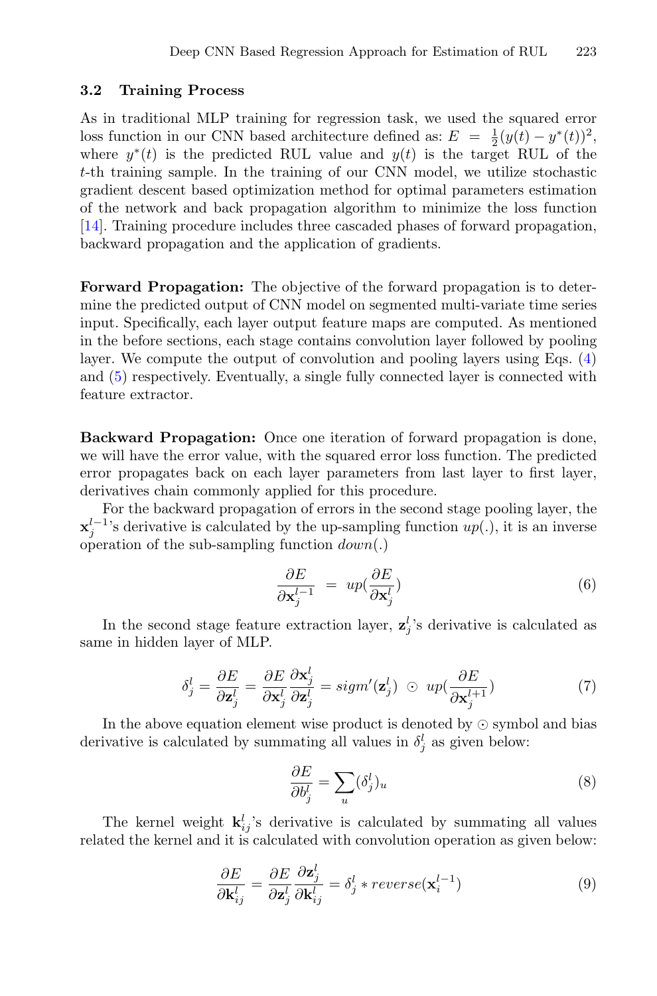#### **3.2 Training Process**

As in traditional MLP training for regression task, we used the squared error loss function in our CNN based architecture defined as:  $E = \frac{1}{2}(y(t) - y^*(t))^2$ , where  $y^*(t)$  is the predicted RUL value and  $y(t)$  is the target RUL of the t-th training sample. In the training of our CNN model, we utilize stochastic gradient descent based optimization method for optimal parameters estimation of the network and back propagation algorithm to minimize the loss function [\[14](#page-13-14)]. Training procedure includes three cascaded phases of forward propagation, backward propagation and the application of gradients.

**Forward Propagation:** The objective of the forward propagation is to determine the predicted output of CNN model on segmented multi-variate time series input. Specifically, each layer output feature maps are computed. As mentioned in the before sections, each stage contains convolution layer followed by pooling layer. We compute the output of convolution and pooling layers using Eqs. [\(4\)](#page-8-1) and [\(5\)](#page-8-2) respectively. Eventually, a single fully connected layer is connected with feature extractor.

**Backward Propagation:** Once one iteration of forward propagation is done, we will have the error value, with the squared error loss function. The predicted error propagates back on each layer parameters from last layer to first layer, derivatives chain commonly applied for this procedure.

For the backward propagation of errors in the second stage pooling layer, the  $\mathbf{x}_i^{l-1}$ 's derivative is calculated by the up-sampling function  $up(.)$ , it is an inverse operation of the sub-sampling function  $down(.)$ 

$$
\frac{\partial E}{\partial \mathbf{x}_j^{l-1}} = \ up(\frac{\partial E}{\partial \mathbf{x}_j^l}) \tag{6}
$$

In the second stage feature extraction layer,  $z_i^l$ 's derivative is calculated as same in hidden layer of MLP.

$$
\delta_j^l = \frac{\partial E}{\partial \mathbf{z}_j^l} = \frac{\partial E}{\partial \mathbf{x}_j^l} \frac{\partial \mathbf{x}_j^l}{\partial \mathbf{z}_j^l} = sign'(\mathbf{z}_j^l) \ \odot \ up(\frac{\partial E}{\partial \mathbf{x}_j^{l+1}}) \tag{7}
$$

In the above equation element wise product is denoted by  $\odot$  symbol and bias derivative is calculated by summating all values in  $\delta_i^l$  as given below:

$$
\frac{\partial E}{\partial b_j^l} = \sum_u (\delta_j^l)_u \tag{8}
$$

The kernel weight  $\mathbf{k}_{ij}^l$ 's derivative is calculated by summating all values related the kernel and it is calculated with convolution operation as given below:

$$
\frac{\partial E}{\partial \mathbf{k}_{ij}^l} = \frac{\partial E}{\partial \mathbf{z}_j^l} \frac{\partial \mathbf{z}_j^l}{\partial \mathbf{k}_{ij}^l} = \delta_j^l * reverse(\mathbf{x}_i^{l-1})
$$
\n(9)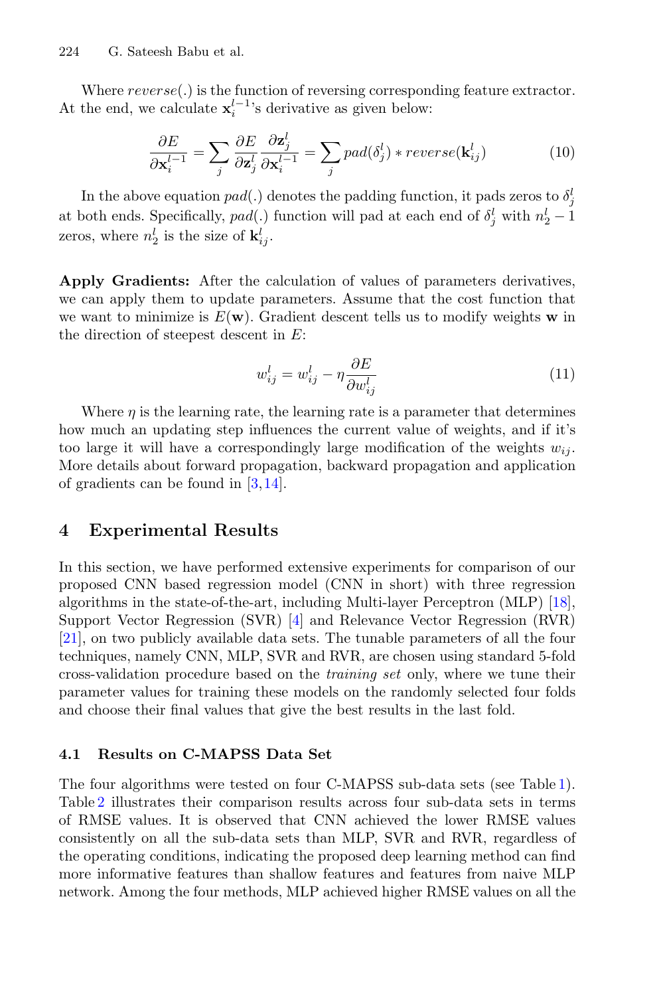Where  $reverse(.)$  is the function of reversing corresponding feature extractor. At the end, we calculate  $\mathbf{x}_i^{l-1}$ 's derivative as given below:

$$
\frac{\partial E}{\partial \mathbf{x}_{i}^{l-1}} = \sum_{j} \frac{\partial E}{\partial \mathbf{z}_{j}^{l}} \frac{\partial \mathbf{z}_{j}^{l}}{\partial \mathbf{x}_{i}^{l-1}} = \sum_{j} pad(\delta_{j}^{l}) * reverse(\mathbf{k}_{ij}^{l})
$$
(10)

In the above equation pad(.) denotes the padding function, it pads zeros to  $\delta_j^l$ at both ends. Specifically,  $pad(.)$  function will pad at each end of  $\delta_j^l$  with  $n_2^l - 1$ zeros, where  $n_2^l$  is the size of  $\mathbf{k}_{ij}^l$ .

**Apply Gradients:** After the calculation of values of parameters derivatives, we can apply them to update parameters. Assume that the cost function that we want to minimize is  $E(\mathbf{w})$ . Gradient descent tells us to modify weights **w** in the direction of steepest descent in  $E$ :

$$
w_{ij}^l = w_{ij}^l - \eta \frac{\partial E}{\partial w_{ij}^l}
$$
\n<sup>(11)</sup>

Where  $\eta$  is the learning rate, the learning rate is a parameter that determines how much an updating step influences the current value of weights, and if it's too large it will have a correspondingly large modification of the weights  $w_{ij}$ . More details about forward propagation, backward propagation and application of gradients can be found in [\[3,](#page-13-15)[14\]](#page-13-14).

## <span id="page-10-0"></span>**4 Experimental Results**

In this section, we have performed extensive experiments for comparison of our proposed CNN based regression model (CNN in short) with three regression algorithms in the state-of-the-art, including Multi-layer Perceptron (MLP) [\[18\]](#page-13-16), Support Vector Regression (SVR) [\[4\]](#page-13-17) and Relevance Vector Regression (RVR) [\[21](#page-14-6)], on two publicly available data sets. The tunable parameters of all the four techniques, namely CNN, MLP, SVR and RVR, are chosen using standard 5-fold cross-validation procedure based on the *training set* only, where we tune their parameter values for training these models on the randomly selected four folds and choose their final values that give the best results in the last fold.

#### **4.1 Results on C-MAPSS Data Set**

The four algorithms were tested on four C-MAPSS sub-data sets (see Table [1\)](#page-3-0). Table [2](#page-11-0) illustrates their comparison results across four sub-data sets in terms of RMSE values. It is observed that CNN achieved the lower RMSE values consistently on all the sub-data sets than MLP, SVR and RVR, regardless of the operating conditions, indicating the proposed deep learning method can find more informative features than shallow features and features from naive MLP network. Among the four methods, MLP achieved higher RMSE values on all the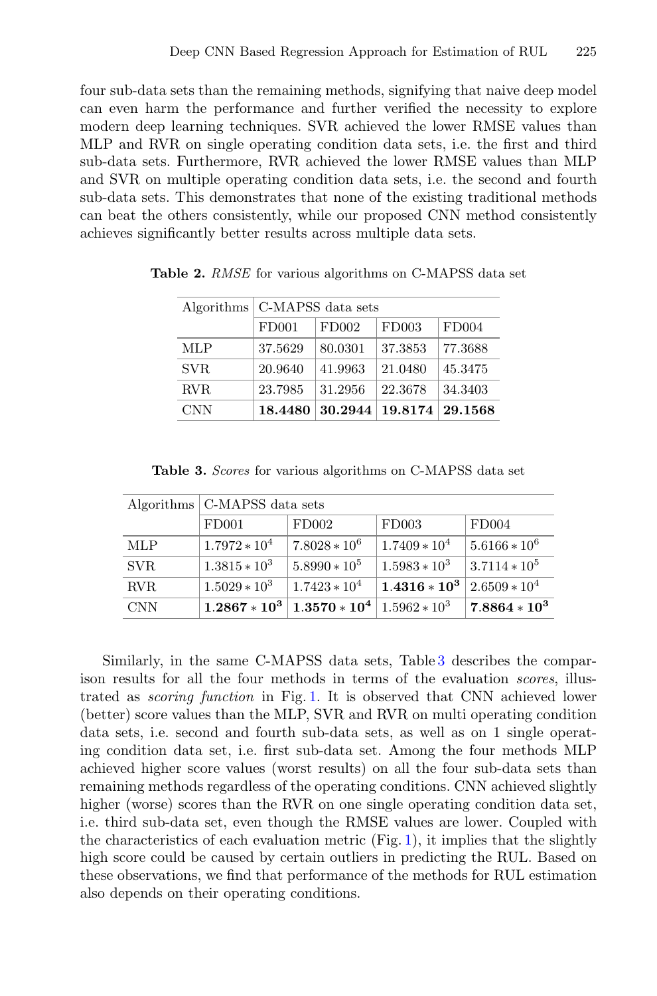four sub-data sets than the remaining methods, signifying that naive deep model can even harm the performance and further verified the necessity to explore modern deep learning techniques. SVR achieved the lower RMSE values than MLP and RVR on single operating condition data sets, i.e. the first and third sub-data sets. Furthermore, RVR achieved the lower RMSE values than MLP and SVR on multiple operating condition data sets, i.e. the second and fourth sub-data sets. This demonstrates that none of the existing traditional methods can beat the others consistently, while our proposed CNN method consistently achieves significantly better results across multiple data sets.

| Algorithms | C-MAPSS data sets   |                   |                   |         |
|------------|---------------------|-------------------|-------------------|---------|
|            | F <sub>1</sub> 0001 | FD <sub>002</sub> | F <sub>D003</sub> | FD004   |
| MLP        | 37.5629             | 80.0301           | 37.3853           | 77.3688 |
| SVR.       | 20.9640             | 41.9963           | 21.0480           | 45.3475 |
| <b>RVR</b> | 23.7985             | 31.2956           | 22.3678           | 34.3403 |
| <b>CNN</b> | 18.4480             | 30.2944           | 19.8174           | 29.1568 |

<span id="page-11-0"></span>**Table 2.** *RMSE* for various algorithms on C-MAPSS data set

**Table 3.** *Scores* for various algorithms on C-MAPSS data set

<span id="page-11-1"></span>

|            | Algorithms   C-MAPSS data sets |                   |                                 |                 |  |
|------------|--------------------------------|-------------------|---------------------------------|-----------------|--|
|            | F <sub>D001</sub>              | F <sub>D002</sub> | F <sub>D003</sub>               | FD004           |  |
| MLP        | $1.7972 * 104$                 | $7.8028 * 10^6$   | $1.7409 * 104$                  | $5.6166 * 10^6$ |  |
| <b>SVR</b> | $1.3815 * 10^3$                | $5.8990 * 10^5$   | $1.5983 * 10^3$                 | $3.7114 * 10^5$ |  |
| RVR.       | $1.5029 * 103$                 | $1.7423 * 104$    | $1.4316 * 10^3   2.6509 * 10^4$ |                 |  |
| <b>CNN</b> | $1.2867 * 10^3$                | $1.3570 * 10^4$   | $1.5962 * 10^3$                 | $7.8864 * 10^3$ |  |

Similarly, in the same C-MAPSS data sets, Table [3](#page-11-1) describes the comparison results for all the four methods in terms of the evaluation *scores*, illustrated as *scoring function* in Fig. [1.](#page-5-0) It is observed that CNN achieved lower (better) score values than the MLP, SVR and RVR on multi operating condition data sets, i.e. second and fourth sub-data sets, as well as on 1 single operating condition data set, i.e. first sub-data set. Among the four methods MLP achieved higher score values (worst results) on all the four sub-data sets than remaining methods regardless of the operating conditions. CNN achieved slightly higher (worse) scores than the RVR on one single operating condition data set, i.e. third sub-data set, even though the RMSE values are lower. Coupled with the characteristics of each evaluation metric  $(Fig. 1)$  $(Fig. 1)$ , it implies that the slightly high score could be caused by certain outliers in predicting the RUL. Based on these observations, we find that performance of the methods for RUL estimation also depends on their operating conditions.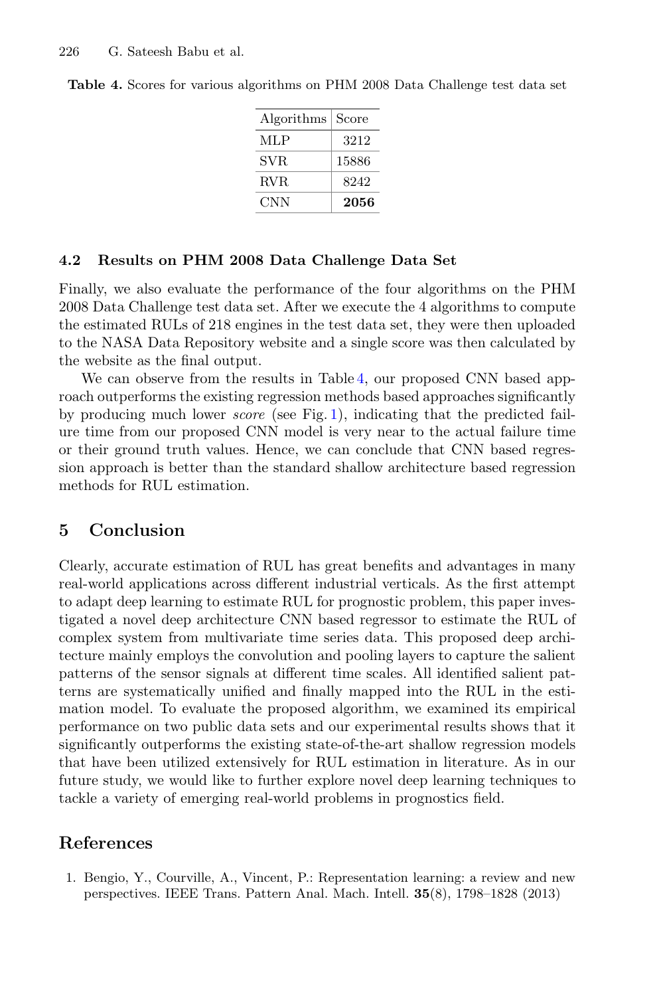| Algorithms | Score |
|------------|-------|
| MLP        | 3212  |
| SVR.       | 15886 |
| RVR.       | 8242  |
| CNN        | 2056  |

<span id="page-12-2"></span>**Table 4.** Scores for various algorithms on PHM 2008 Data Challenge test data set

#### **4.2 Results on PHM 2008 Data Challenge Data Set**

Finally, we also evaluate the performance of the four algorithms on the PHM 2008 Data Challenge test data set. After we execute the 4 algorithms to compute the estimated RULs of 218 engines in the test data set, they were then uploaded to the NASA Data Repository website and a single score was then calculated by the website as the final output.

We can observe from the results in Table [4,](#page-12-2) our proposed CNN based approach outperforms the existing regression methods based approaches significantly by producing much lower *score* (see Fig. [1\)](#page-5-0), indicating that the predicted failure time from our proposed CNN model is very near to the actual failure time or their ground truth values. Hence, we can conclude that CNN based regression approach is better than the standard shallow architecture based regression methods for RUL estimation.

## <span id="page-12-1"></span>**5 Conclusion**

Clearly, accurate estimation of RUL has great benefits and advantages in many real-world applications across different industrial verticals. As the first attempt to adapt deep learning to estimate RUL for prognostic problem, this paper investigated a novel deep architecture CNN based regressor to estimate the RUL of complex system from multivariate time series data. This proposed deep architecture mainly employs the convolution and pooling layers to capture the salient patterns of the sensor signals at different time scales. All identified salient patterns are systematically unified and finally mapped into the RUL in the estimation model. To evaluate the proposed algorithm, we examined its empirical performance on two public data sets and our experimental results shows that it significantly outperforms the existing state-of-the-art shallow regression models that have been utilized extensively for RUL estimation in literature. As in our future study, we would like to further explore novel deep learning techniques to tackle a variety of emerging real-world problems in prognostics field.

## **References**

<span id="page-12-0"></span>1. Bengio, Y., Courville, A., Vincent, P.: Representation learning: a review and new perspectives. IEEE Trans. Pattern Anal. Mach. Intell. **35**(8), 1798–1828 (2013)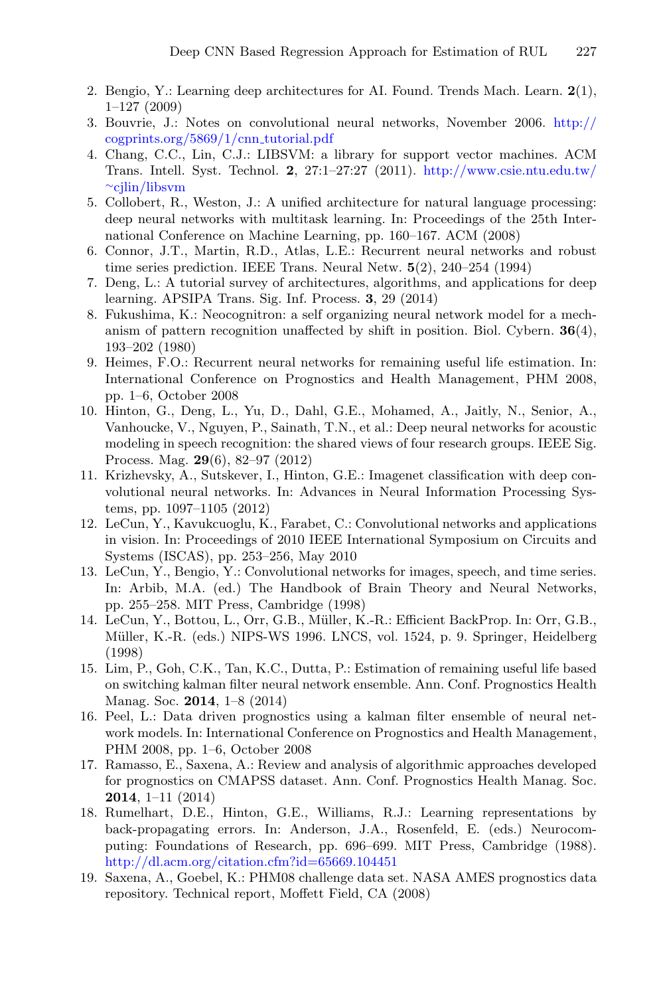- <span id="page-13-3"></span>2. Bengio, Y.: Learning deep architectures for AI. Found. Trends Mach. Learn. **2**(1), 1–127 (2009)
- <span id="page-13-15"></span>3. Bouvrie, J.: Notes on convolutional neural networks, November 2006. [http://](http://cogprints.org/5869/1/cnn_tutorial.pdf) [cogprints.org/5869/1/cnn](http://cogprints.org/5869/1/cnn_tutorial.pdf) tutorial.pdf
- <span id="page-13-17"></span>4. Chang, C.C., Lin, C.J.: LIBSVM: a library for support vector machines. ACM Trans. Intell. Syst. Technol. **2**, 27:1–27:27 (2011). [http://www.csie.ntu.edu.tw/](http://www.csie.ntu.edu.tw/~cjlin/libsvm) <sup>∼</sup>[cjlin/libsvm](http://www.csie.ntu.edu.tw/~cjlin/libsvm)
- <span id="page-13-7"></span>5. Collobert, R., Weston, J.: A unified architecture for natural language processing: deep neural networks with multitask learning. In: Proceedings of the 25th International Conference on Machine Learning, pp. 160–167. ACM (2008)
- <span id="page-13-8"></span>6. Connor, J.T., Martin, R.D., Atlas, L.E.: Recurrent neural networks and robust time series prediction. IEEE Trans. Neural Netw. **5**(2), 240–254 (1994)
- <span id="page-13-4"></span>7. Deng, L.: A tutorial survey of architectures, algorithms, and applications for deep learning. APSIPA Trans. Sig. Inf. Process. **3**, 29 (2014)
- <span id="page-13-13"></span>8. Fukushima, K.: Neocognitron: a self organizing neural network model for a mechanism of pattern recognition unaffected by shift in position. Biol. Cybern. **36**(4), 193–202 (1980)
- <span id="page-13-0"></span>9. Heimes, F.O.: Recurrent neural networks for remaining useful life estimation. In: International Conference on Prognostics and Health Management, PHM 2008, pp. 1–6, October 2008
- <span id="page-13-6"></span>10. Hinton, G., Deng, L., Yu, D., Dahl, G.E., Mohamed, A., Jaitly, N., Senior, A., Vanhoucke, V., Nguyen, P., Sainath, T.N., et al.: Deep neural networks for acoustic modeling in speech recognition: the shared views of four research groups. IEEE Sig. Process. Mag. **29**(6), 82–97 (2012)
- <span id="page-13-5"></span>11. Krizhevsky, A., Sutskever, I., Hinton, G.E.: Imagenet classification with deep convolutional neural networks. In: Advances in Neural Information Processing Systems, pp. 1097–1105 (2012)
- <span id="page-13-9"></span>12. LeCun, Y., Kavukcuoglu, K., Farabet, C.: Convolutional networks and applications in vision. In: Proceedings of 2010 IEEE International Symposium on Circuits and Systems (ISCAS), pp. 253–256, May 2010
- <span id="page-13-10"></span>13. LeCun, Y., Bengio, Y.: Convolutional networks for images, speech, and time series. In: Arbib, M.A. (ed.) The Handbook of Brain Theory and Neural Networks, pp. 255–258. MIT Press, Cambridge (1998)
- <span id="page-13-14"></span>14. LeCun, Y., Bottou, L., Orr, G.B., Müller, K.-R.: Efficient BackProp. In: Orr, G.B., Müller, K.-R. (eds.) NIPS-WS 1996. LNCS, vol. 1524, p. 9. Springer, Heidelberg (1998)
- <span id="page-13-1"></span>15. Lim, P., Goh, C.K., Tan, K.C., Dutta, P.: Estimation of remaining useful life based on switching kalman filter neural network ensemble. Ann. Conf. Prognostics Health Manag. Soc. **2014**, 1–8 (2014)
- <span id="page-13-12"></span>16. Peel, L.: Data driven prognostics using a kalman filter ensemble of neural network models. In: International Conference on Prognostics and Health Management, PHM 2008, pp. 1–6, October 2008
- <span id="page-13-2"></span>17. Ramasso, E., Saxena, A.: Review and analysis of algorithmic approaches developed for prognostics on CMAPSS dataset. Ann. Conf. Prognostics Health Manag. Soc. **2014**, 1–11 (2014)
- <span id="page-13-16"></span>18. Rumelhart, D.E., Hinton, G.E., Williams, R.J.: Learning representations by back-propagating errors. In: Anderson, J.A., Rosenfeld, E. (eds.) Neurocomputing: Foundations of Research, pp. 696–699. MIT Press, Cambridge (1988). <http://dl.acm.org/citation.cfm?id=65669.104451>
- <span id="page-13-11"></span>19. Saxena, A., Goebel, K.: PHM08 challenge data set. NASA AMES prognostics data repository. Technical report, Moffett Field, CA (2008)